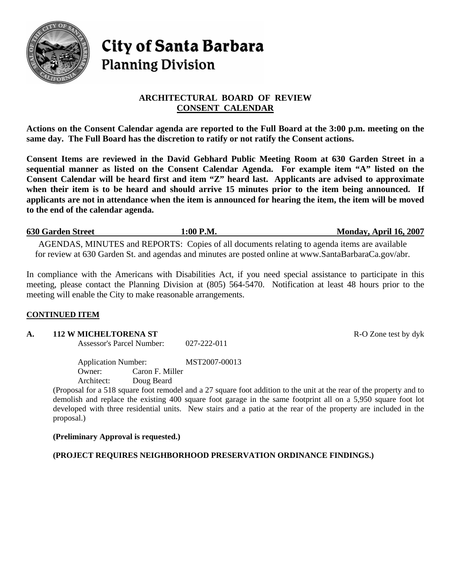

# City of Santa Barbara **Planning Division**

# **ARCHITECTURAL BOARD OF REVIEW CONSENT CALENDAR**

**Actions on the Consent Calendar agenda are reported to the Full Board at the 3:00 p.m. meeting on the same day. The Full Board has the discretion to ratify or not ratify the Consent actions.** 

**Consent Items are reviewed in the David Gebhard Public Meeting Room at 630 Garden Street in a sequential manner as listed on the Consent Calendar Agenda. For example item "A" listed on the Consent Calendar will be heard first and item "Z" heard last. Applicants are advised to approximate when their item is to be heard and should arrive 15 minutes prior to the item being announced. If applicants are not in attendance when the item is announced for hearing the item, the item will be moved to the end of the calendar agenda.** 

**630 Garden Street 1:00 P.M. Monday, April 16, 2007** AGENDAS, MINUTES and REPORTS: Copies of all documents relating to agenda items are available for review at 630 Garden St. and agendas and minutes are posted online at [www.SantaBarbaraCa.gov](http://www.santabarbaraca.gov/)/abr.

In compliance with the Americans with Disabilities Act, if you need special assistance to participate in this meeting, please contact the Planning Division at (805) 564-5470. Notification at least 48 hours prior to the meeting will enable the City to make reasonable arrangements.

# **CONTINUED ITEM**

#### **A.** 112 W MICHELTORENA ST **R-O** Zone test by dyk

Assessor's Parcel Number: 027-222-011

Application Number: MST2007-00013 Owner: Caron F. Miller Architect: Doug Beard

(Proposal for a 518 square foot remodel and a 27 square foot addition to the unit at the rear of the property and to demolish and replace the existing 400 square foot garage in the same footprint all on a 5,950 square foot lot developed with three residential units. New stairs and a patio at the rear of the property are included in the proposal.)

**(Preliminary Approval is requested.)** 

**(PROJECT REQUIRES NEIGHBORHOOD PRESERVATION ORDINANCE FINDINGS.)**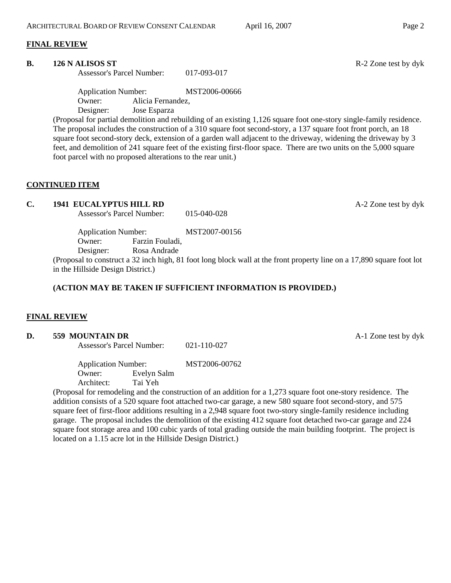#### **FINAL REVIEW**

#### **B.** 126 N ALISOS ST **R-2** Zone test by dyk

Assessor's Parcel Number: 017-093-017

Application Number: MST2006-00666 Owner: Alicia Fernandez, Designer: Jose Esparza

(Proposal for partial demolition and rebuilding of an existing 1,126 square foot one-story single-family residence. The proposal includes the construction of a 310 square foot second-story, a 137 square foot front porch, an 18 square foot second-story deck, extension of a garden wall adjacent to the driveway, widening the driveway by 3 feet, and demolition of 241 square feet of the existing first-floor space. There are two units on the 5,000 square foot parcel with no proposed alterations to the rear unit.)

# **CONTINUED ITEM**

# **C. 1941 EUCALYPTUS HILL RD A-2** Zone test by dyk

Assessor's Parcel Number: 015-040-028

Application Number: MST2007-00156

Owner: Farzin Fouladi,

Designer: Rosa Andrade

(Proposal to construct a 32 inch high, 81 foot long block wall at the front property line on a 17,890 square foot lot in the Hillside Design District.)

# **(ACTION MAY BE TAKEN IF SUFFICIENT INFORMATION IS PROVIDED.)**

#### **FINAL REVIEW**

#### **D.** 559 MOUNTAIN DR **A-1** Zone test by dyk

Assessor's Parcel Number: 021-110-027

Application Number: MST2006-00762 Owner: Evelyn Salm Architect: Tai Yeh

(Proposal for remodeling and the construction of an addition for a 1,273 square foot one-story residence. The addition consists of a 520 square foot attached two-car garage, a new 580 square foot second-story, and 575 square feet of first-floor additions resulting in a 2,948 square foot two-story single-family residence including garage. The proposal includes the demolition of the existing 412 square foot detached two-car garage and 224 square foot storage area and 100 cubic yards of total grading outside the main building footprint. The project is located on a 1.15 acre lot in the Hillside Design District.)